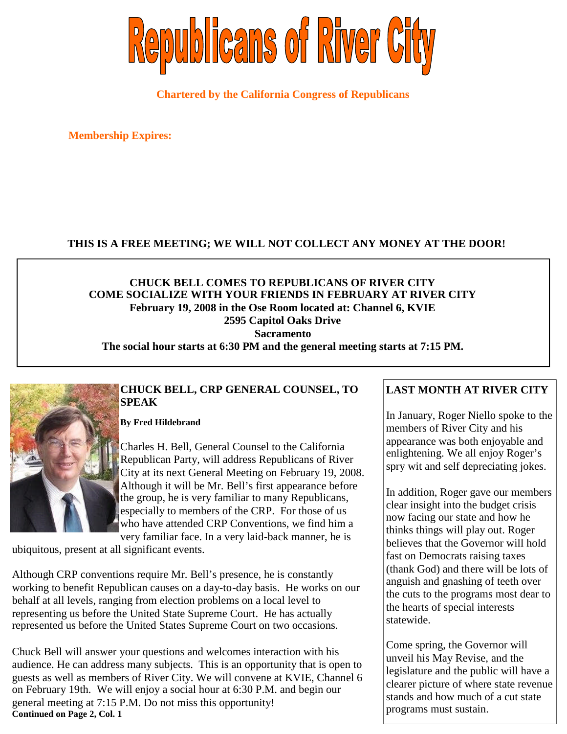

**Chartered by the California Congress of Republicans**

**Membership Expires:**

### **THIS IS A FREE MEETING; WE WILL NOT COLLECT ANY MONEY AT THE DOOR!**

#### **CHUCK BELL COMES TO REPUBLICANS OF RIVER CITY COME SOCIALIZE WITH YOUR FRIENDS IN FEBRUARY AT RIVER CITY February 19, 2008 in the Ose Room located at: Channel 6, KVIE 2595 Capitol Oaks Drive Sacramento The social hour starts at 6:30 PM and the general meeting starts at 7:15 PM.**

### **CHUCK BELL, CRP GENERAL COUNSEL, TO SPEAK**

**By Fred Hildebrand**

Charles H. Bell, General Counsel to the California Republican Party, will address Republicans of River City at its next General Meeting on February 19, 2008. Although it will be Mr. Bell's first appearance before the group, he is very familiar to many Republicans, especially to members of the CRP. For those of us who have attended CRP Conventions, we find him a very familiar face. In a very laid-back manner, he is

ubiquitous, present at all significant events.

Although CRP conventions require Mr. Bell's presence, he is constantly working to benefit Republican causes on a day-to-day basis. He works on our behalf at all levels, ranging from election problems on a local level to representing us before the United State Supreme Court. He has actually represented us before the United States Supreme Court on two occasions.

Chuck Bell will answer your questions and welcomes interaction with his audience. He can address many subjects. This is an opportunity that is open to guests as well as members of River City. We will convene at KVIE, Channel 6 on February 19th. We will enjoy a social hour at 6:30 P.M. and begin our general meeting at 7:15 P.M. Do not miss this opportunity! **Continued on Page 2, Col. 1**

## **LAST MONTH AT RIVER CITY**

In January, Roger Niello spoke to the members of River City and his appearance was both enjoyable and enlightening. We all enjoy Roger's spry wit and self depreciating jokes.

In addition, Roger gave our members clear insight into the budget crisis now facing our state and how he thinks things will play out. Roger believes that the Governor will hold fast on Democrats raising taxes (thank God) and there will be lots of anguish and gnashing of teeth over the cuts to the programs most dear to the hearts of special interests statewide.

Come spring, the Governor will unveil his May Revise, and the legislature and the public will have a clearer picture of where state revenue stands and how much of a cut state programs must sustain.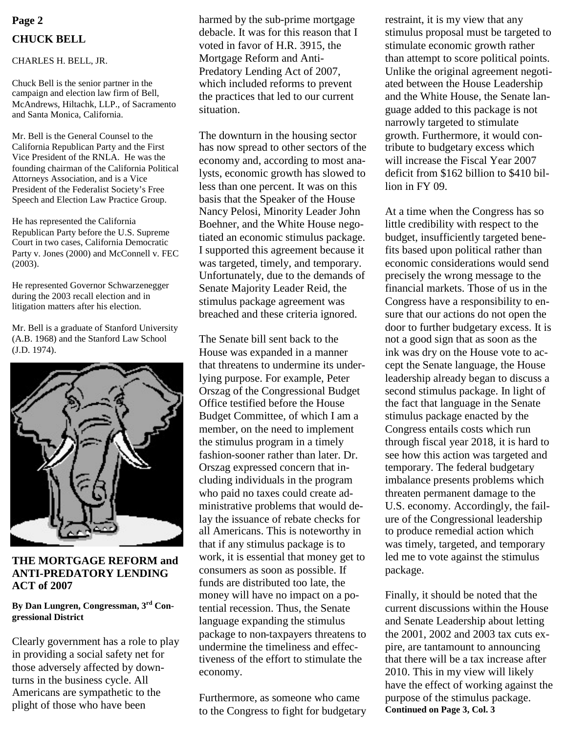# **CHUCK BELL**

#### CHARLES H. BELL, JR.

Chuck Bell is the senior partner in the campaign and election law firm of Bell, McAndrews, Hiltachk, LLP., of Sacramento and Santa Monica, California.

Mr. Bell is the General Counsel to the California Republican Party and the First Vice President of the RNLA. He was the founding chairman of the California Political Attorneys Association, and is a Vice President of the Federalist Society's Free Speech and Election Law Practice Group.

He has represented the California Republican Party before the U.S. Supreme Court in two cases, California Democratic Party v. Jones (2000) and McConnell v. FEC (2003).

He represented Governor Schwarzenegger during the 2003 recall election and in litigation matters after his election.

Mr. Bell is a graduate of Stanford University (A.B. 1968) and the Stanford Law School (J.D. 1974).



#### **THE MORTGAGE REFORM and ANTI-PREDATORY LENDING ACT of 2007**

#### **By Dan Lungren, Congressman, 3rd Congressional District**

Clearly government has a role to play in providing a social safety net for those adversely affected by downturns in the business cycle. All Americans are sympathetic to the plight of those who have been

**Page 2** harmed by the sub-prime mortgage restraint, it is my view that any debacle. It was for this reason that I voted in favor of H.R. 3915, the Mortgage Reform and Anti-Predatory Lending Act of 2007, which included reforms to prevent the practices that led to our current situation.

> The downturn in the housing sector has now spread to other sectors of the economy and, according to most analysts, economic growth has slowed to less than one percent. It was on this basis that the Speaker of the House Nancy Pelosi, Minority Leader John Boehner, and the White House negotiated an economic stimulus package. I supported this agreement because it was targeted, timely, and temporary. Unfortunately, due to the demands of Senate Majority Leader Reid, the stimulus package agreement was breached and these criteria ignored.

> The Senate bill sent back to the House was expanded in a manner that threatens to undermine its underlying purpose. For example, Peter Orszag of the Congressional Budget Office testified before the House Budget Committee, of which I am a member, on the need to implement the stimulus program in a timely fashion-sooner rather than later. Dr. Orszag expressed concern that including individuals in the program who paid no taxes could create administrative problems that would delay the issuance of rebate checks for all Americans. This is noteworthy in that if any stimulus package is to work, it is essential that money get to consumers as soon as possible. If funds are distributed too late, the money will have no impact on a potential recession. Thus, the Senate language expanding the stimulus package to non-taxpayers threatens to undermine the timeliness and effectiveness of the effort to stimulate the economy.

> Furthermore, as someone who came to the Congress to fight for budgetary

stimulus proposal must be targeted to stimulate economic growth rather than attempt to score political points. Unlike the original agreement negotiated between the House Leadership and the White House, the Senate language added to this package is not narrowly targeted to stimulate growth. Furthermore, it would contribute to budgetary excess which will increase the Fiscal Year 2007 deficit from \$162 billion to \$410 billion in FY 09.

At a time when the Congress has so little credibility with respect to the budget, insufficiently targeted benefits based upon political rather than economic considerations would send precisely the wrong message to the financial markets. Those of us in the Congress have a responsibility to ensure that our actions do not open the door to further budgetary excess. It is not a good sign that as soon as the ink was dry on the House vote to accept the Senate language, the House leadership already began to discuss a second stimulus package. In light of the fact that language in the Senate stimulus package enacted by the Congress entails costs which run through fiscal year 2018, it is hard to see how this action was targeted and temporary. The federal budgetary imbalance presents problems which threaten permanent damage to the U.S. economy. Accordingly, the failure of the Congressional leadership to produce remedial action which was timely, targeted, and temporary led me to vote against the stimulus package.

Finally, it should be noted that the current discussions within the House and Senate Leadership about letting the 2001, 2002 and 2003 tax cuts expire, are tantamount to announcing that there will be a tax increase after 2010. This in my view will likely have the effect of working against the purpose of the stimulus package. **Continued on Page 3, Col. 3**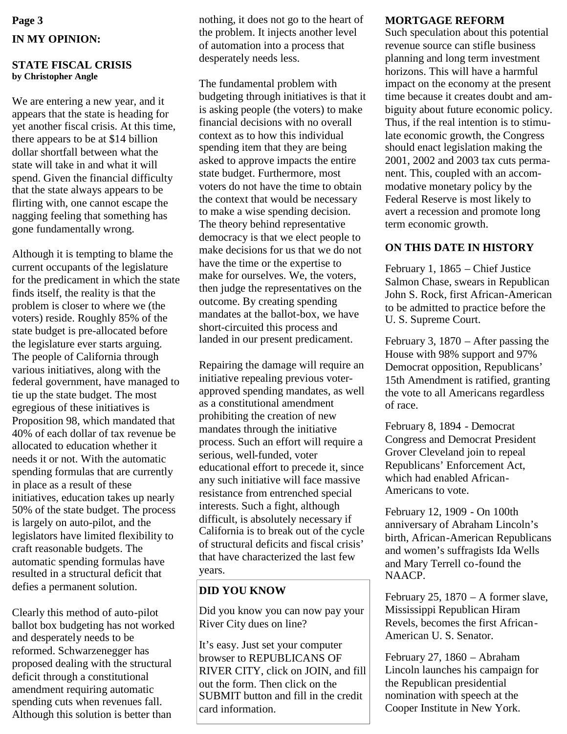# **Page 3 IN MY OPINION:**

#### **STATE FISCAL CRISIS by Christopher Angle**

We are entering a new year, and it appears that the state is heading for yet another fiscal crisis. At this time, there appears to be at \$14 billion dollar shortfall between what the state will take in and what it will spend. Given the financial difficulty that the state always appears to be flirting with, one cannot escape the nagging feeling that something has gone fundamentally wrong.

Although it is tempting to blame the current occupants of the legislature for the predicament in which the state finds itself, the reality is that the problem is closer to where we (the voters) reside. Roughly 85% of the state budget is pre-allocated before the legislature ever starts arguing. The people of California through various initiatives, along with the federal government, have managed to tie up the state budget. The most egregious of these initiatives is Proposition 98, which mandated that 40% of each dollar of tax revenue be allocated to education whether it needs it or not. With the automatic spending formulas that are currently in place as a result of these initiatives, education takes up nearly 50% of the state budget. The process is largely on auto-pilot, and the legislators have limited flexibility to craft reasonable budgets. The automatic spending formulas have resulted in a structural deficit that defies a permanent solution.

Clearly this method of auto-pilot ballot box budgeting has not worked and desperately needs to be reformed. Schwarzenegger has proposed dealing with the structural deficit through a constitutional amendment requiring automatic spending cuts when revenues fall. Although this solution is better than

nothing, it does not go to the heart of the problem. It injects another level of automation into a process that desperately needs less.

The fundamental problem with budgeting through initiatives is that it is asking people (the voters) to make financial decisions with no overall context as to how this individual spending item that they are being asked to approve impacts the entire state budget. Furthermore, most voters do not have the time to obtain the context that would be necessary to make a wise spending decision. The theory behind representative democracy is that we elect people to make decisions for us that we do not have the time or the expertise to make for ourselves. We, the voters, then judge the representatives on the outcome. By creating spending mandates at the ballot-box, we have short-circuited this process and landed in our present predicament.

Repairing the damage will require an initiative repealing previous voterapproved spending mandates, as well as a constitutional amendment prohibiting the creation of new mandates through the initiative process. Such an effort will require a serious, well-funded, voter educational effort to precede it, since any such initiative will face massive resistance from entrenched special interests. Such a fight, although difficult, is absolutely necessary if California is to break out of the cycle of structural deficits and fiscal crisis' that have characterized the last few years.

#### **DID YOU KNOW**

Did you know you can now pay your River City dues on line?

It's easy. Just set your computer browser to REPUBLICANS OF RIVER CITY, click on JOIN, and fill out the form. Then click on the SUBMIT button and fill in the credit card information.

#### **MORTGAGE REFORM**

Such speculation about this potential revenue source can stifle business planning and long term investment horizons. This will have a harmful impact on the economy at the present time because it creates doubt and ambiguity about future economic policy. Thus, if the real intention is to stimulate economic growth, the Congress should enact legislation making the 2001, 2002 and 2003 tax cuts permanent. This, coupled with an accommodative monetary policy by the Federal Reserve is most likely to avert a recession and promote long term economic growth.

## **ON THIS DATE IN HISTORY**

February 1, 1865 – Chief Justice Salmon Chase, swears in Republican John S. Rock, first African-American to be admitted to practice before the U. S. Supreme Court.

February 3, 1870 – After passing the House with 98% support and 97% Democrat opposition, Republicans' 15th Amendment is ratified, granting the vote to all Americans regardless of race.

February 8, 1894 - Democrat Congress and Democrat President Grover Cleveland join to repeal Republicans' Enforcement Act, which had enabled African-Americans to vote.

February 12, 1909 - On 100th anniversary of Abraham Lincoln's birth, African-American Republicans and women's suffragists Ida Wells and Mary Terrell co-found the NAACP.

February 25,  $1870 - A$  former slave, Mississippi Republican Hiram Revels, becomes the first African-American U. S. Senator.

February 27, 1860 – Abraham Lincoln launches his campaign for the Republican presidential nomination with speech at the Cooper Institute in New York.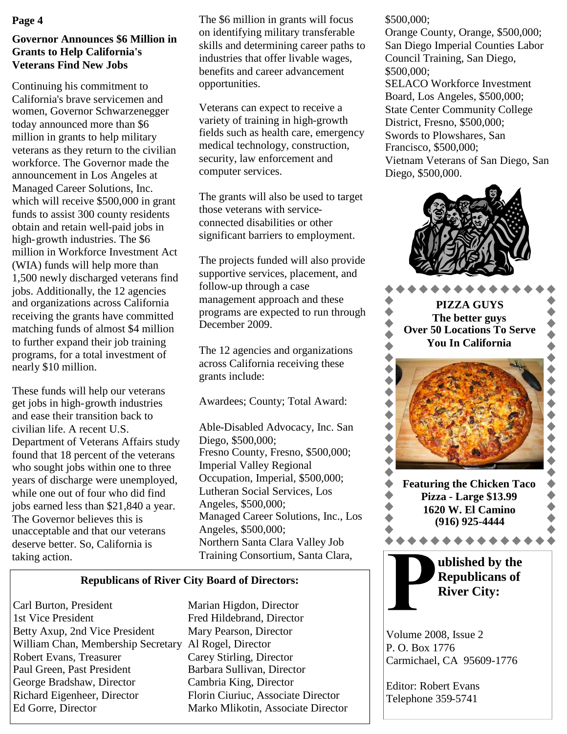#### **Page 4**

## **Governor Announces \$6 Million in Grants to Help California's Veterans Find New Jobs**

Continuing his commitment to California's brave servicemen and women, Governor Schwarzenegger today announced more than \$6 million in grants to help military veterans as they return to the civilian workforce. The Governor made the announcement in Los Angeles at Managed Career Solutions, Inc. which will receive \$500,000 in grant funds to assist 300 county residents obtain and retain well-paid jobs in high-growth industries. The \$6 million in Workforce Investment Act (WIA) funds will help more than 1,500 newly discharged veterans find jobs. Additionally, the 12 agencies and organizations across California receiving the grants have committed matching funds of almost \$4 million to further expand their job training programs, for a total investment of nearly \$10 million.

These funds will help our veterans get jobs in high-growth industries and ease their transition back to civilian life. A recent U.S. Department of Veterans Affairs study found that 18 percent of the veterans who sought jobs within one to three years of discharge were unemployed, while one out of four who did find jobs earned less than \$21,840 a year. The Governor believes this is unacceptable and that our veterans deserve better. So, California is taking action.

The \$6 million in grants will focus on identifying military transferable skills and determining career paths to industries that offer livable wages, benefits and career advancement opportunities.

Veterans can expect to receive a variety of training in high-growth fields such as health care, emergency medical technology, construction, security, law enforcement and computer services.

The grants will also be used to target those veterans with serviceconnected disabilities or other significant barriers to employment.

The projects funded will also provide supportive services, placement, and follow-up through a case management approach and these programs are expected to run through December 2009.

The 12 agencies and organizations across California receiving these grants include:

Awardees; County; Total Award:

Able-Disabled Advocacy, Inc. San Diego, \$500,000; Fresno County, Fresno, \$500,000; Imperial Valley Regional Occupation, Imperial, \$500,000; Lutheran Social Services, Los Angeles, \$500,000; Managed Career Solutions, Inc., Los Angeles, \$500,000; Northern Santa Clara Valley Job Training Consortium, Santa Clara,

## **Republicans of River City Board of Directors:**

Carl Burton, President Marian Higdon, Director 1st Vice President Fred Hildebrand, Director Betty Axup, 2nd Vice President Mary Pearson, Director William Chan, Membership Secretary Al Rogel, Director Robert Evans, Treasurer Carey Stirling, Director Paul Green, Past President Barbara Sullivan, Director George Bradshaw, Director Cambria King, Director Richard Eigenheer, Director Florin Ciuriuc, Associate Director Ed Gorre, Director Marko Mlikotin, Associate Director

#### \$500,000;

Orange County, Orange, \$500,000; San Diego Imperial Counties Labor Council Training, San Diego, \$500,000; SELACO Workforce Investment Board, Los Angeles, \$500,000;

State Center Community College District, Fresno, \$500,000; Swords to Plowshares, San Francisco, \$500,000; Vietnam Veterans of San Diego, San Diego, \$500,000.







**ublished by the Republicans of River City:**

Volume 2008, Issue 2 P. O. Box 1776 Carmichael, CA 95609-1776

Editor: Robert Evans Telephone 359-5741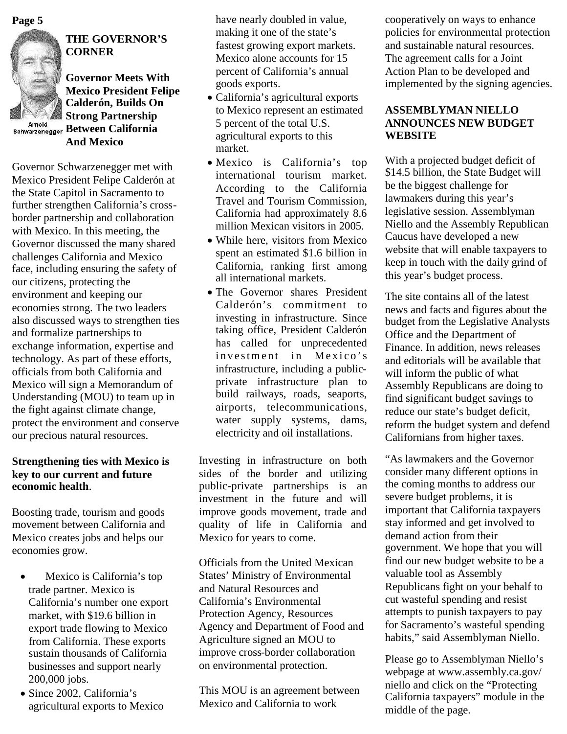**Page 5**



# **THE GOVERNOR'S CORNER**

**Governor Meets With Mexico President Felipe Calderón, Builds On Strong Partnership BET ONE 1 at the supplement of the Schwarzenegger Between California And Mexico**

Governor Schwarzenegger met with Mexico President Felipe Calderón at the State Capitol in Sacramento to further strengthen California's crossborder partnership and collaboration with Mexico. In this meeting, the Governor discussed the many shared challenges California and Mexico face, including ensuring the safety of our citizens, protecting the environment and keeping our economies strong. The two leaders also discussed ways to strengthen ties and formalize partnerships to exchange information, expertise and technology. As part of these efforts, officials from both California and Mexico will sign a Memorandum of Understanding (MOU) to team up in the fight against climate change, protect the environment and conserve our precious natural resources.

#### **Strengthening ties with Mexico is key to our current and future economic health**.

Boosting trade, tourism and goods movement between California and Mexico creates jobs and helps our economies grow.

- Mexico is California's top trade partner. Mexico is California's number one export market, with \$19.6 billion in export trade flowing to Mexico from California. These exports sustain thousands of California businesses and support nearly 200,000 jobs.
- Since 2002, California's agricultural exports to Mexico

have nearly doubled in value, making it one of the state's fastest growing export markets. Mexico alone accounts for 15 percent of California's annual goods exports.

- California's agricultural exports to Mexico represent an estimated 5 percent of the total U.S. agricultural exports to this market.
- Mexico is California's top international tourism market. According to the California Travel and Tourism Commission, California had approximately 8.6 million Mexican visitors in 2005.
- While here, visitors from Mexico spent an estimated \$1.6 billion in California, ranking first among all international markets.
- The Governor shares President Calderón's commitment to investing in infrastructure. Since taking office, President Calderón has called for unprecedented investment in Mexico's infrastructure, including a publicprivate infrastructure plan to build railways, roads, seaports, airports, telecommunications, water supply systems, dams, electricity and oil installations.

Investing in infrastructure on both sides of the border and utilizing public-private partnerships is an investment in the future and will improve goods movement, trade and quality of life in California and Mexico for years to come.

Officials from the United Mexican States' Ministry of Environmental and Natural Resources and California's Environmental Protection Agency, Resources Agency and Department of Food and Agriculture signed an MOU to improve cross-border collaboration on environmental protection.

This MOU is an agreement between Mexico and California to work

cooperatively on ways to enhance policies for environmental protection and sustainable natural resources. The agreement calls for a Joint Action Plan to be developed and implemented by the signing agencies.

#### **ASSEMBLYMAN NIELLO ANNOUNCES NEW BUDGET WEBSITE**

With a projected budget deficit of \$14.5 billion, the State Budget will be the biggest challenge for lawmakers during this year's legislative session. Assemblyman Niello and the Assembly Republican Caucus have developed a new website that will enable taxpayers to keep in touch with the daily grind of this year's budget process.

The site contains all of the latest news and facts and figures about the budget from the Legislative Analysts Office and the Department of Finance. In addition, news releases and editorials will be available that will inform the public of what Assembly Republicans are doing to find significant budget savings to reduce our state's budget deficit, reform the budget system and defend Californians from higher taxes.

"As lawmakers and the Governor consider many different options in the coming months to address our severe budget problems, it is important that California taxpayers stay informed and get involved to demand action from their government. We hope that you will find our new budget website to be a valuable tool as Assembly Republicans fight on your behalf to cut wasteful spending and resist attempts to punish taxpayers to pay for Sacramento's wasteful spending habits," said Assemblyman Niello.

Please go to Assemblyman Niello's webpage at www.assembly.ca.gov/ niello and click on the "Protecting California taxpayers" module in the middle of the page.